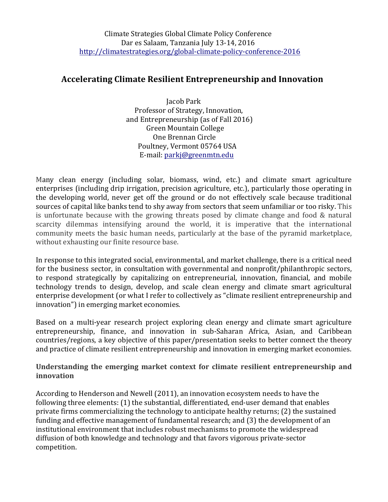# **Accelerating Climate Resilient Entrepreneurship and Innovation**

Jacob Park Professor of Strategy, Innovation, and Entrepreneurship (as of Fall 2016) Green Mountain College One Brennan Circle Poultney, Vermont 05764 USA E-mail: parkj@greenmtn.edu

Many clean energy (including solar, biomass, wind, etc.) and climate smart agriculture enterprises (including drip irrigation, precision agriculture, etc.), particularly those operating in the developing world, never get off the ground or do not effectively scale because traditional sources of capital like banks tend to shy away from sectors that seem unfamiliar or too risky. This is unfortunate because with the growing threats posed by climate change and food  $\&$  natural scarcity dilemmas intensifying around the world, it is imperative that the international community meets the basic human needs, particularly at the base of the pyramid marketplace, without exhausting our finite resource base.

In response to this integrated social, environmental, and market challenge, there is a critical need for the business sector, in consultation with governmental and nonprofit/philanthropic sectors, to respond strategically by capitalizing on entrepreneurial, innovation, financial, and mobile technology trends to design, develop, and scale clean energy and climate smart agricultural enterprise development (or what I refer to collectively as "climate resilient entrepreneurship and innovation") in emerging market economies.

Based on a multi-year research project exploring clean energy and climate smart agriculture entrepreneurship, finance, and innovation in sub-Saharan Africa, Asian, and Caribbean countries/regions, a key objective of this paper/presentation seeks to better connect the theory and practice of climate resilient entrepreneurship and innovation in emerging market economies.

## **Understanding the emerging market context for climate resilient entrepreneurship and innovation**

According to Henderson and Newell (2011), an innovation ecosystem needs to have the following three elements: (1) the substantial, differentiated, end-user demand that enables private firms commercializing the technology to anticipate healthy returns; (2) the sustained funding and effective management of fundamental research; and (3) the development of an institutional environment that includes robust mechanisms to promote the widespread diffusion of both knowledge and technology and that favors vigorous private-sector competition.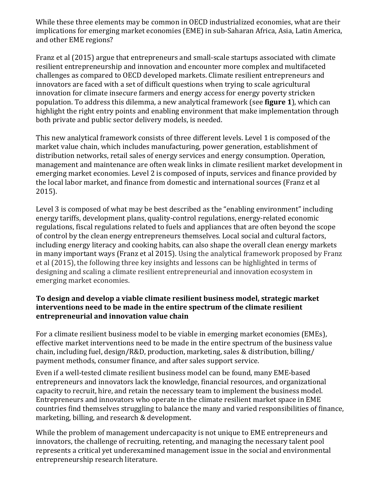While these three elements may be common in OECD industrialized economies, what are their implications for emerging market economies (EME) in sub-Saharan Africa, Asia, Latin America, and other EME regions?

Franz et al (2015) argue that entrepreneurs and small-scale startups associated with climate resilient entrepreneurship and innovation and encounter more complex and multifaceted challenges as compared to OECD developed markets. Climate resilient entrepreneurs and innovators are faced with a set of difficult questions when trying to scale agricultural innovation for climate insecure farmers and energy access for energy poverty stricken population. To address this dilemma, a new analytical framework (see **figure 1**), which can highlight the right entry points and enabling environment that make implementation through both private and public sector delivery models, is needed.

This new analytical framework consists of three different levels. Level 1 is composed of the market value chain, which includes manufacturing, power generation, establishment of distribution networks, retail sales of energy services and energy consumption. Operation, management and maintenance are often weak links in climate resilient market development in emerging market economies. Level 2 is composed of inputs, services and finance provided by the local labor market, and finance from domestic and international sources (Franz et al 2015).

Level 3 is composed of what may be best described as the "enabling environment" including energy tariffs, development plans, quality-control regulations, energy-related economic regulations, fiscal regulations related to fuels and appliances that are often beyond the scope of control by the clean energy entrepreneurs themselves. Local social and cultural factors, including energy literacy and cooking habits, can also shape the overall clean energy markets in many important ways (Franz et al 2015). Using the analytical framework proposed by Franz et al (2015), the following three key insights and lessons can be highlighted in terms of designing and scaling a climate resilient entrepreneurial and innovation ecosystem in emerging market economies.

### To design and develop a viable climate resilient business model, strategic market **interventions need to be made in the entire spectrum of the climate resilient** entrepreneurial and innovation value chain

For a climate resilient business model to be viable in emerging market economies (EMEs), effective market interventions need to be made in the entire spectrum of the business value chain, including fuel, design/R&D, production, marketing, sales & distribution, billing/ payment methods, consumer finance, and after sales support service.

Even if a well-tested climate resilient business model can be found, many EME-based entrepreneurs and innovators lack the knowledge, financial resources, and organizational capacity to recruit, hire, and retain the necessary team to implement the business model. Entrepreneurs and innovators who operate in the climate resilient market space in EME countries find themselves struggling to balance the many and varied responsibilities of finance, marketing, billing, and research & development.

While the problem of management undercapacity is not unique to EME entrepreneurs and innovators, the challenge of recruiting, retenting, and managing the necessary talent pool represents a critical yet underexamined management issue in the social and environmental entrepreneurship research literature.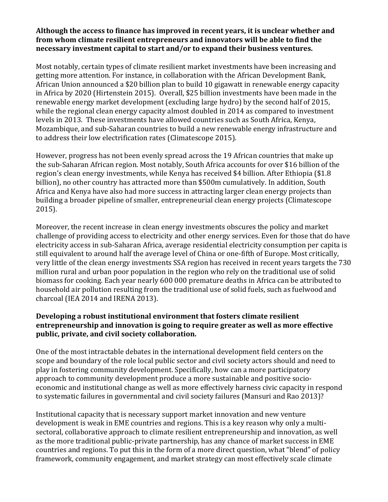#### Although the access to finance has improved in recent years, it is unclear whether and from whom climate resilient entrepreneurs and innovators will be able to find the necessary investment capital to start and/or to expand their business ventures.

Most notably, certain types of climate resilient market investments have been increasing and getting more attention. For instance, in collaboration with the African Development Bank, African Union announced a \$20 billion plan to build 10 gigawatt in renewable energy capacity in Africa by 2020 (Hirtenstein 2015). Overall, \$25 billion investments have been made in the renewable energy market development (excluding large hydro) by the second half of 2015, while the regional clean energy capacity almost doubled in  $2014$  as compared to investment levels in 2013. These investments have allowed countries such as South Africa, Kenya, Mozambique, and sub-Saharan countries to build a new renewable energy infrastructure and to address their low electrification rates (Climatescope 2015).

However, progress has not been evenly spread across the 19 African countries that make up the sub-Saharan African region. Most notably, South Africa accounts for over \$16 billion of the region's clean energy investments, while Kenya has received \$4 billion. After Ethiopia (\$1.8) billion), no other country has attracted more than \$500m cumulatively. In addition, South Africa and Kenya have also had more success in attracting larger clean energy projects than building a broader pipeline of smaller, entrepreneurial clean energy projects (Climatescope 2015). 

Moreover, the recent increase in clean energy investments obscures the policy and market challenge of providing access to electricity and other energy services. Even for those that do have electricity access in sub-Saharan Africa, average residential electricity consumption per capita is still equivalent to around half the average level of China or one-fifth of Europe. Most critically, very little of the clean energy investments SSA region has received in recent vears targets the 730 million rural and urban poor population in the region who rely on the traditional use of solid biomass for cooking. Each year nearly 600 000 premature deaths in Africa can be attributed to household air pollution resulting from the traditional use of solid fuels, such as fuelwood and charcoal (IEA 2014 and IRENA 2013).

## **Developing a robust institutional environment that fosters climate resilient entrepreneurship and innovation is going to require greater as well as more effective** public, private, and civil society collaboration.

One of the most intractable debates in the international development field centers on the scope and boundary of the role local public sector and civil society actors should and need to play in fostering community development. Specifically, how can a more participatory approach to community development produce a more sustainable and positive socioeconomic and institutional change as well as more effectively harness civic capacity in respond to systematic failures in governmental and civil society failures (Mansuri and Rao 2013)?

Institutional capacity that is necessary support market innovation and new venture development is weak in EME countries and regions. This is a key reason why only a multisectoral, collaborative approach to climate resilient entrepreneurship and innovation, as well as the more traditional public-private partnership, has any chance of market success in EME countries and regions. To put this in the form of a more direct question, what "blend" of policy framework, community engagement, and market strategy can most effectively scale climate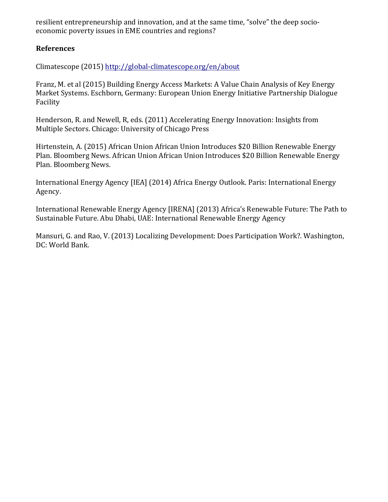resilient entrepreneurship and innovation, and at the same time, "solve" the deep socioeconomic poverty issues in EME countries and regions?

#### **References**

Climatescope (2015) http://global-climatescope.org/en/about

Franz, M. et al (2015) Building Energy Access Markets: A Value Chain Analysis of Key Energy Market Systems. Eschborn, Germany: European Union Energy Initiative Partnership Dialogue Facility

Henderson, R. and Newell, R, eds. (2011) Accelerating Energy Innovation: Insights from Multiple Sectors. Chicago: University of Chicago Press

Hirtenstein, A. (2015) African Union African Union Introduces \$20 Billion Renewable Energy Plan. Bloomberg News. African Union African Union Introduces \$20 Billion Renewable Energy Plan. Bloomberg News.

International Energy Agency [IEA] (2014) Africa Energy Outlook. Paris: International Energy Agency. 

International Renewable Energy Agency [IRENA] (2013) Africa's Renewable Future: The Path to Sustainable Future. Abu Dhabi, UAE: International Renewable Energy Agency

Mansuri, G. and Rao, V. (2013) Localizing Development: Does Participation Work?. Washington, DC: World Bank.